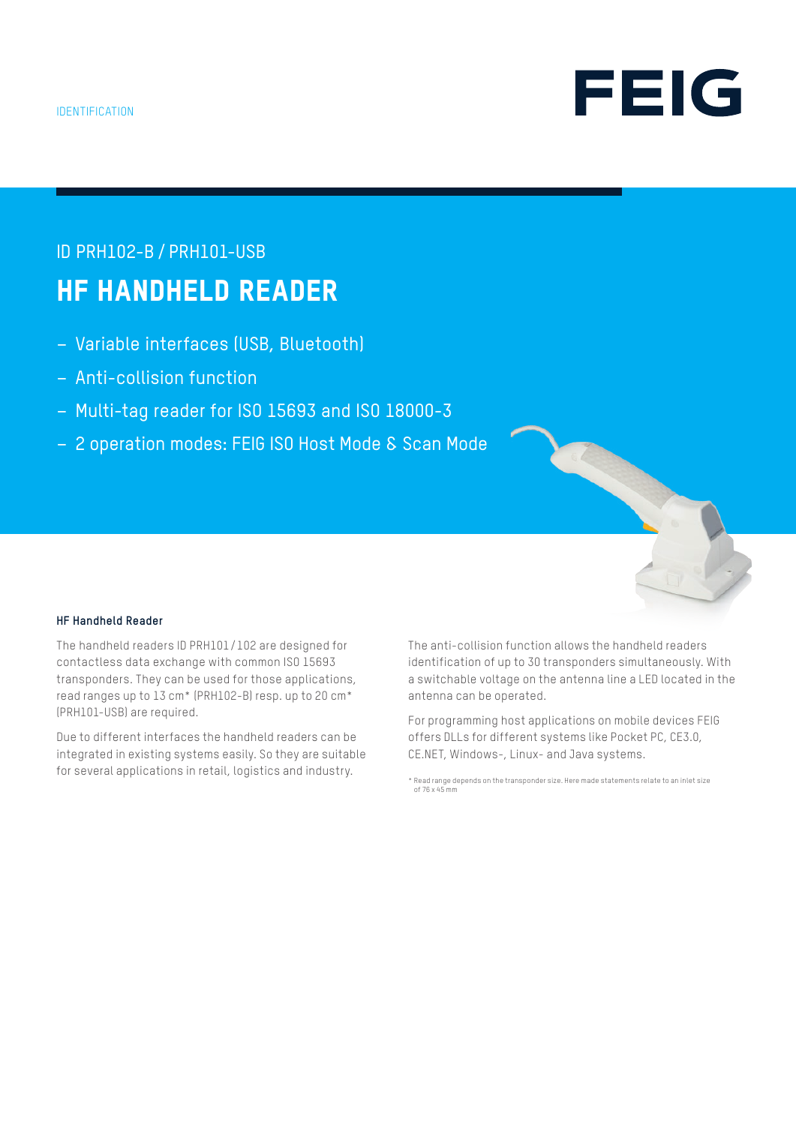

# ID PRH102-B / PRH101-USB HF HANDHELD READER

- Variable interfaces (USB, Bluetooth)
- Anti-collision function
- Multi-tag reader for ISO 15693 and ISO 18000-3
- 2 operation modes: FEIG ISO Host Mode & Scan Mode



## **HF Handheld Reader**

The handheld readers ID PRH101/102 are designed for contactless data exchange with common ISO 15693 transponders. They can be used for those applications, read ranges up to 13 cm\* (PRH102-B) resp. up to 20 cm\* (PRH101-USB) are required.

Due to different interfaces the handheld readers can be integrated in existing systems easily. So they are suitable for several applications in retail, logistics and industry.

The anti-collision function allows the handheld readers identification of up to 30 transponders simultaneously. With a switchable voltage on the antenna line a LED located in the antenna can be operated.

For programming host applications on mobile devices FEIG offers DLLs for different systems like Pocket PC, CE3.0, CE.NET, Windows-, Linux- and Java systems.

<sup>\*</sup> Read range depends on the transponder size. Here made statements relate to an inlet size of 76 x 45 mm